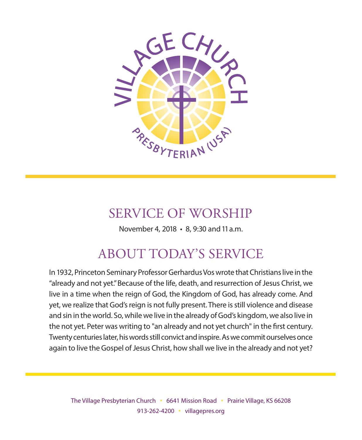

# SERVICE OF WORSHIP

November 4, 2018 • 8, 9:30 and 11 a.m.

# ABOUT TODAY'S SERVICE

In 1932, Princeton Seminary Professor Gerhardus Vos wrote that Christians live in the "already and not yet." Because of the life, death, and resurrection of Jesus Christ, we live in a time when the reign of God, the Kingdom of God, has already come. And yet, we realize that God's reign is not fully present. There is still violence and disease and sin in the world. So, while we live in the already of God's kingdom, we also live in the not yet. Peter was writing to "an already and not yet church" in the first century. Twenty centuries later, his words still convict and inspire. As we commit ourselves once again to live the Gospel of Jesus Christ, how shall we live in the already and not yet?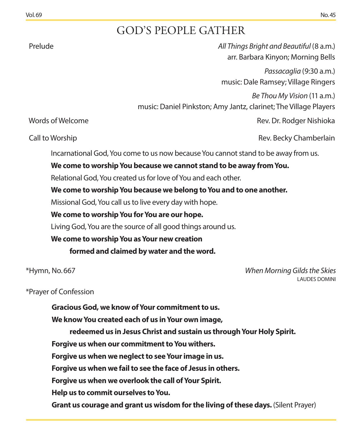# GOD'S PEOPLE GATHER

 Prelude *All Things Bright and Beautiful* (8 a.m.) arr. Barbara Kinyon; Morning Bells

> *Passacaglia* (9:30 a.m.) music: Dale Ramsey; Village Ringers

*Be Thou My Vision* (11 a.m.)

music: Daniel Pinkston; Amy Jantz, clarinet; The Village Players

Words of Welcome **Rev. Dr. Rodger Nishioka** Rev. Dr. Rodger Nishioka

Call to Worship Rev. Becky Chamberlain

Incarnational God, You come to us now because You cannot stand to be away from us.

#### **We come to worship You because we cannot stand to be away from You.**

Relational God, You created us for love of You and each other.

### **We come to worship You because we belong to You and to one another.**

Missional God, You call us to live every day with hope.

### **We come to worship You for You are our hope.**

Living God, You are the source of all good things around us.

### **We come to worship You as Your new creation**

**formed and claimed by water and the word.**

\*Hymn, No. 667 *When Morning Gilds the Skies* LAUDES DOMINI

### \*Prayer of Confession

**Gracious God, we know of Your commitment to us.** 

**We know You created each of us in Your own image,** 

**redeemed us in Jesus Christ and sustain us through Your Holy Spirit.**

**Forgive us when our commitment to You withers.**

**Forgive us when we neglect to see Your image in us.**

**Forgive us when we fail to see the face of Jesus in others.**

**Forgive us when we overlook the call of Your Spirit.**

**Help us to commit ourselves to You.** 

**Grant us courage and grant us wisdom for the living of these days.** (Silent Prayer)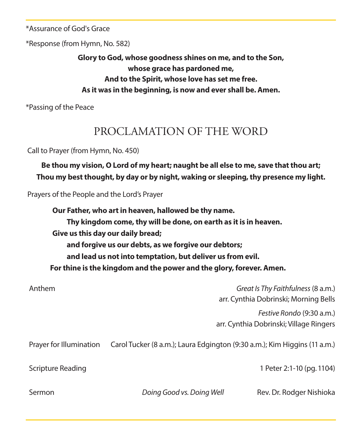\*Assurance of God's Grace

\*Response (from Hymn, No. 582)

**Glory to God, whose goodness shines on me, and to the Son, whose grace has pardoned me, And to the Spirit, whose love has set me free. As it was in the beginning, is now and ever shall be. Amen.**

\*Passing of the Peace

# PROCLAMATION OF THE WORD

Call to Prayer (from Hymn, No. 450)

**Be thou my vision, O Lord of my heart; naught be all else to me, save that thou art; Thou my best thought, by day or by night, waking or sleeping, thy presence my light.** 

Prayers of the People and the Lord's Prayer

**Our Father, who art in heaven, hallowed be thy name. Thy kingdom come, thy will be done, on earth as it is in heaven. Give us this day our daily bread; and forgive us our debts, as we forgive our debtors; and lead us not into temptation, but deliver us from evil. For thine is the kingdom and the power and the glory, forever. Amen.**

| Anthem                  | Great Is Thy Faithfulness (8 a.m.)<br>arr. Cynthia Dobrinski; Morning Bells |                                                                      |
|-------------------------|-----------------------------------------------------------------------------|----------------------------------------------------------------------|
|                         |                                                                             | Festive Rondo (9:30 a.m.)<br>arr. Cynthia Dobrinski; Village Ringers |
| Prayer for Illumination | Carol Tucker (8 a.m.); Laura Edgington (9:30 a.m.); Kim Higgins (11 a.m.)   |                                                                      |
| Scripture Reading       |                                                                             | 1 Peter 2:1-10 (pg. 1104)                                            |
| Sermon                  | Doing Good vs. Doing Well                                                   | Rev. Dr. Rodger Nishioka                                             |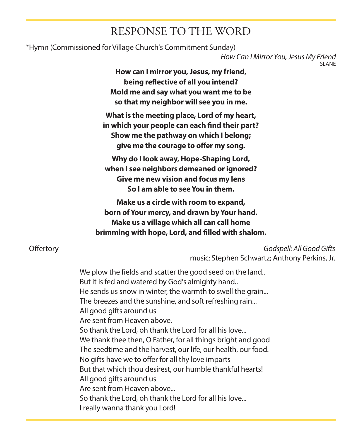# RESPONSE TO THE WORD

\*Hymn (Commissioned for Village Church's Commitment Sunday)

*How Can I Mirror You, Jesus My Friend* SLAN<sub>E</sub>

**How can I mirror you, Jesus, my friend, being reflective of all you intend? Mold me and say what you want me to be so that my neighbor will see you in me.**

**What is the meeting place, Lord of my heart, in which your people can each find their part? Show me the pathway on which I belong; give me the courage to offer my song.**

**Why do I look away, Hope-Shaping Lord, when I see neighbors demeaned or ignored? Give me new vision and focus my lens So I am able to see You in them.**

**Make us a circle with room to expand, born of Your mercy, and drawn by Your hand. Make us a village which all can call home brimming with hope, Lord, and filled with shalom.**

 Offertory *Godspell: All Good Gifts*  music: Stephen Schwartz; Anthony Perkins, Jr.

> We plow the fields and scatter the good seed on the land.. But it is fed and watered by God's almighty hand.. He sends us snow in winter, the warmth to swell the grain... The breezes and the sunshine, and soft refreshing rain... All good gifts around us Are sent from Heaven above. So thank the Lord, oh thank the Lord for all his love... We thank thee then, O Father, for all things bright and good The seedtime and the harvest, our life, our health, our food. No gifts have we to offer for all thy love imparts But that which thou desirest, our humble thankful hearts! All good gifts around us Are sent from Heaven above... So thank the Lord, oh thank the Lord for all his love... I really wanna thank you Lord!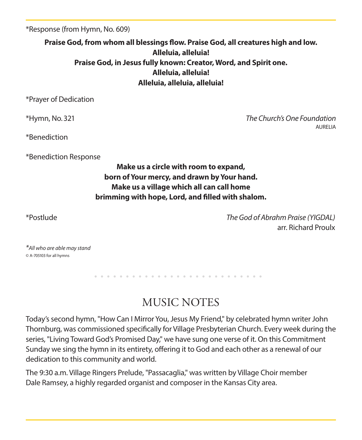\*Response (from Hymn, No. 609)

**Praise God, from whom all blessings flow. Praise God, all creatures high and low. Alleluia, alleluia! Praise God, in Jesus fully known: Creator, Word, and Spirit one. Alleluia, alleluia! Alleluia, alleluia, alleluia!**

\*Prayer of Dedication

\*Hymn, No. 321 *The Church's One Foundation* AURELIA

\*Benediction

\*Benediction Response

**Make us a circle with room to expand, born of Your mercy, and drawn by Your hand. Make us a village which all can call home brimming with hope, Lord, and filled with shalom.**

\*Postlude *The God of Abrahm Praise (YIGDAL)* arr. Richard Proulx

*\*All who are able may stand* © A-705103 for all hymns

MUSIC NOTES

Today's second hymn, "How Can I Mirror You, Jesus My Friend," by celebrated hymn writer John Thornburg, was commissioned specifically for Village Presbyterian Church. Every week during the series, "Living Toward God's Promised Day," we have sung one verse of it. On this Commitment Sunday we sing the hymn in its entirety, offering it to God and each other as a renewal of our dedication to this community and world.

The 9:30 a.m. Village Ringers Prelude, "Passacaglia," was written by Village Choir member Dale Ramsey, a highly regarded organist and composer in the Kansas City area.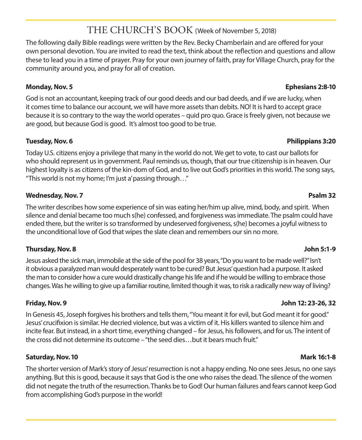# THE CHURCH'S BOOK (Week of November 5, 2018)

The following daily Bible readings were written by the Rev. Becky Chamberlain and are offered for your own personal devotion. You are invited to read the text, think about the reflection and questions and allow these to lead you in a time of prayer. Pray for your own journey of faith, pray for Village Church, pray for the community around you, and pray for all of creation.

God is not an accountant, keeping track of our good deeds and our bad deeds, and if we are lucky, when it comes time to balance our account, we will have more assets than debits. NO! It is hard to accept grace because it is so contrary to the way the world operates – quid pro quo. Grace is freely given, not because we are good, but because God is good. It's almost too good to be true.

#### **Tuesday, Nov. 6 Philippians 3:20**

Today U.S. citizens enjoy a privilege that many in the world do not. We get to vote, to cast our ballots for who should represent us in government. Paul reminds us, though, that our true citizenship is in heaven. Our highest loyalty is as citizens of the kin-dom of God, and to live out God's priorities in this world. The song says, "This world is not my home; I'm just a' passing through…"

#### **Wednesday, Nov. 7 Psalm 32**

The writer describes how some experience of sin was eating her/him up alive, mind, body, and spirit. When silence and denial became too much s(he) confessed, and forgiveness was immediate. The psalm could have ended there, but the writer is so transformed by undeserved forgiveness, s(he) becomes a joyful witness to the unconditional love of God that wipes the slate clean and remembers our sin no more.

#### **Thursday, Nov. 8 John 5:1-9**

Jesus asked the sick man, immobile at the side of the pool for 38 years, "Do you want to be made well?" Isn't it obvious a paralyzed man would desperately want to be cured? But Jesus' question had a purpose. It asked the man to consider how a cure would drastically change his life and if he would be willing to embrace those changes. Was he willing to give up a familiar routine, limited though it was, to risk a radically new way of living?

#### **Friday, Nov. 9 John 12: 23-26, 32**

In Genesis 45, Joseph forgives his brothers and tells them, "You meant it for evil, but God meant it for good." Jesus' crucifixion is similar. He decried violence, but was a victim of it. His killers wanted to silence him and incite fear. But instead, in a short time, everything changed – for Jesus, his followers, and for us. The intent of the cross did not determine its outcome – "the seed dies…but it bears much fruit."

#### **Saturday, Nov. 10 Mark 16:1-8**

The shorter version of Mark's story of Jesus' resurrection is not a happy ending. No one sees Jesus, no one says anything. But this is good, because it says that God is the one who raises the dead. The silence of the women did not negate the truth of the resurrection. Thanks be to God! Our human failures and fears cannot keep God from accomplishing God's purpose in the world!

### **Monday, Nov. 5 Ephesians 2:8-10**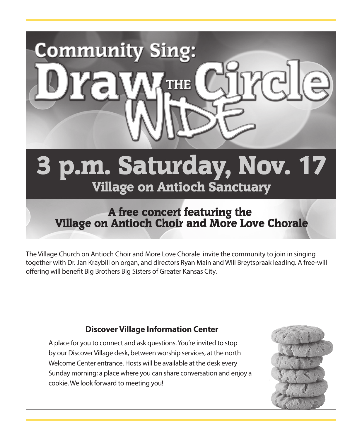

The Village Church on Antioch Choir and More Love Chorale invite the community to join in singing together with Dr. Jan Kraybill on organ, and directors Ryan Main and Will Breytspraak leading. A free-will offering will benefit Big Brothers Big Sisters of Greater Kansas City.

## **Discover Village Information Center**

A place for you to connect and ask questions. You're invited to stop by our Discover Village desk, between worship services, at the north Welcome Center entrance. Hosts will be available at the desk every Sunday morning; a place where you can share conversation and enjoy a cookie. We look forward to meeting you!

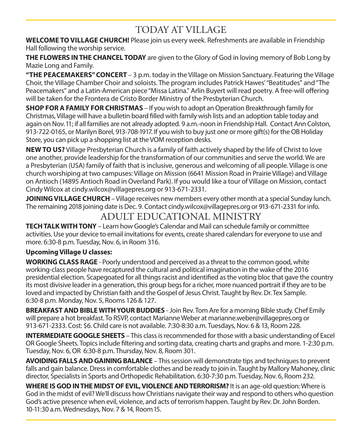# TODAY AT VILLAGE

**WELCOME TO VILLAGE CHURCH!** Please join us every week. Refreshments are available in Friendship Hall following the worship service.

**THE FLOWERS IN THE CHANCEL TODAY** are given to the Glory of God in loving memory of Bob Long by Mazie Long and Family.

**"THE PEACEMAKERS" CONCERT** – 3 p.m. today in the Village on Mission Sanctuary. Featuring the Village Choir, the Village Chamber Choir and soloists. The program includes Patrick Hawes' "Beatitudes" and "The Peacemakers" and a Latin-American piece "Missa Latina." Arlin Buyert will read poetry. A free-will offering will be taken for the Frontera de Cristo Border Ministry of the Presbyterian Church.

**SHOP FOR A FAMILY FOR CHRISTMAS** – If you wish to adopt an Operation Breakthrough family for Christmas, Village will have a bulletin board filled with family wish lists and an adoption table today and again on Nov. 11; if all families are not already adopted. 9 a.m.-noon in Friendship Hall. Contact Ann Colston, 913-722-0165, or Marilyn Borel, 913-708-1917. If you wish to buy just one or more gift(s) for the OB Holiday Store, you can pick up a shopping list at the VOM reception desks.

**NEW TO US?** Village Presbyterian Church is a family of faith actively shaped by the life of Christ to love one another, provide leadership for the transformation of our communities and serve the world. We are a Presbyterian (USA) family of faith that is inclusive, generous and welcoming of all people. Village is one church worshiping at two campuses: Village on Mission (6641 Mission Road in Prairie Village) and Village on Antioch (14895 Antioch Road in Overland Park). If you would like a tour of Village on Mission, contact Cindy Wilcox at cindy.wilcox@villagepres.org or 913-671-2331.

**JOINING VILLAGE CHURCH**– Village receives new members every other month at a special Sunday lunch. The remaining 2018 joining date is Dec. 9. Contact cindy.wilcox@villagepres.org or 913-671-2331 for info.

# ADULT EDUCATIONAL MINISTRY

**TECH TALK WITH TONY** – Learn how Google's Calendar and Mail can schedule family or committee activities. Use your device to email invitations for events, create shared calendars for everyone to use and more. 6:30-8 p.m. Tuesday, Nov. 6, in Room 316.

### **Upcoming Village U classes:**

**WORKING CLASS RAGE** - Poorly understood and perceived as a threat to the common good, white working-class people have recaptured the cultural and political imagination in the wake of the 2016 presidential election. Scapegoated for all things racist and identified as the voting bloc that gave the country its most divisive leader in a generation, this group begs for a richer, more nuanced portrait if they are to be loved and impacted by Christian faith and the Gospel of Jesus Christ. Taught by Rev. Dr. Tex Sample. 6:30-8 p.m. Monday, Nov. 5, Rooms 126 & 127.

**BREAKFAST AND BIBLE WITH YOUR BUDDIES** - Join Rev. Tom Are for a morning Bible study. Chef Emily will prepare a hot breakfast. To RSVP, contact Marianne Weber at marianne.weber@villagepres.org or 913-671-2333. Cost: \$6. Child care is not available. 7:30-8:30 a.m. Tuesdays, Nov. 6 & 13, Room 228.

**INTERMEDIATE GOOGLE SHEETS** – This class is recommended for those with a basic understanding of Excel OR Google Sheets. Topics include filtering and sorting data, creating charts and graphs and more. 1-2:30 p.m. Tuesday, Nov. 6, OR 6:30-8 p.m. Thursday, Nov. 8, Room 301.

**AVOIDING FALLS AND GAINING BALANCE** – This session will demonstrate tips and techniques to prevent falls and gain balance. Dress in comfortable clothes and be ready to join in. Taught by Mallory Mahoney, clinic director, Specialists in Sports and Orthopedic Rehabilitation. 6:30-7:30 p.m. Tuesday, Nov. 6, Room 232.

**WHERE IS GOD IN THE MIDST OF EVIL, VIOLENCE AND TERRORISM?** It is an age-old question: Where is God in the midst of evil? We'll discuss how Christians navigate their way and respond to others who question God's active presence when evil, violence, and acts of terrorism happen. Taught by Rev. Dr. John Borden. 10-11:30 a.m. Wednesdays, Nov. 7 & 14, Room 15.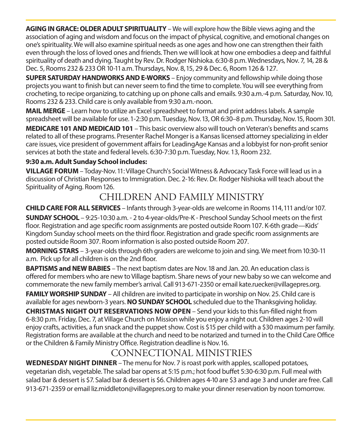**AGING IN GRACE: OLDER ADULT SPIRITUALITY** – We will explore how the Bible views aging and the association of aging and wisdom and focus on the impact of physical, cognitive, and emotional changes on one's spirituality. We will also examine spiritual needs as one ages and how one can strengthen their faith even through the loss of loved ones and friends. Then we will look at how one embodies a deep and faithful spirituality of death and dying. Taught by Rev. Dr. Rodger Nishioka. 6:30-8 p.m. Wednesdays, Nov. 7, 14, 28 & Dec. 5, Rooms 232 & 233 OR 10-11 a.m. Thursdays, Nov. 8, 15, 29 & Dec. 6, Room 126 & 127.

**SUPER SATURDAY HANDWORKS AND E-WORKS** – Enjoy community and fellowship while doing those projects you want to finish but can never seem to find the time to complete. You will see everything from crocheting, to recipe organizing, to catching up on phone calls and emails. 9:30 a.m.-4 p.m. Saturday, Nov. 10, Rooms 232 & 233. Child care is only available from 9:30 a.m.-noon.

**MAIL MERGE** – Learn how to utilize an Excel spreadsheet to format and print address labels. A sample spreadsheet will be available for use. 1-2:30 p.m. Tuesday, Nov. 13, OR 6:30–8 p.m. Thursday, Nov. 15, Room 301.

**MEDICARE 101 AND MEDICAID 101** – This basic overview also will touch on Veteran's benefits and scams related to all of these programs. Presenter Rachel Monger is a Kansas licensed attorney specializing in elder care issues, vice president of government affairs for LeadingAge Kansas and a lobbyist for non-profit senior services at both the state and federal levels. 6:30-7:30 p.m. Tuesday, Nov. 13, Room 232.

#### **9:30 a.m. Adult Sunday School includes:**

**VILLAGE FORUM** – Today-Nov. 11: Village Church's Social Witness & Advocacy Task Force will lead us in a discussion of Christian Responses to Immigration. Dec. 2-16: Rev. Dr. Rodger Nishioka will teach about the Spirituality of Aging. Room 126.

# CHILDREN AND FAMILY MINISTRY

**CHILD CARE FOR ALL SERVICES** – Infants through 3-year-olds are welcome in Rooms 114, 111 and/or 107.

**SUNDAY SCHOOL** – 9:25-10:30 a.m. - 2 to 4-year-olds/Pre-K - Preschool Sunday School meets on the first floor. Registration and age specific room assignments are posted outside Room 107. K-6th grade—Kids' Kingdom Sunday school meets on the third floor. Registration and grade specific room assignments are posted outside Room 307. Room information is also posted outside Room 207.

**MORNING STARS** – 3-year-olds through 6th graders are welcome to join and sing. We meet from 10:30-11 a.m. Pick up for all children is on the 2nd floor.

**BAPTISMS and NEW BABIES** – The next baptism dates are Nov. 18 and Jan. 20. An education class is offered for members who are new to Village baptism. Share news of your new baby so we can welcome and commemorate the new family member's arrival. Call 913-671-2350 or email kate.ruecker@villagepres.org.

**FAMILY WORSHIP SUNDAY** – All children are invited to participate in worship on Nov. 25. Child care is available for ages newborn-3 years. **NO SUNDAY SCHOOL** scheduled due to the Thanksgiving holiday.

**CHRISTMAS NIGHT OUT RESERVATIONS NOW OPEN** – Send your kids to this fun-filled night from 6-8:30 p.m. Friday, Dec. 7, at Village Church on Mission while you enjoy a night out. Children ages 2-10 will enjoy crafts, activities, a fun snack and the puppet show. Cost is \$15 per child with a \$30 maximum per family. Registration forms are available at the church and need to be notarized and turned in to the Child Care Office or the Children & Family Ministry Office. Registration deadline is Nov. 16.

# CONNECTIONAL MINISTRIES

**WEDNESDAY NIGHT DINNER** – The menu for Nov. 7 is roast pork with apples, scalloped potatoes, vegetarian dish, vegetable. The salad bar opens at 5:15 p.m.; hot food buffet 5:30-6:30 p.m. Full meal with salad bar & dessert is \$7. Salad bar & dessert is \$6. Children ages 4-10 are \$3 and age 3 and under are free. Call 913-671-2359 or email liz.middleton@villagepres.org to make your dinner reservation by noon tomorrow.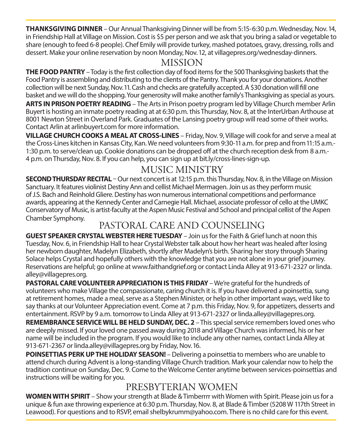**THANKSGIVING DINNER** – Our Annual Thanksgiving Dinner will be from 5:15-6:30 p.m. Wednesday, Nov. 14, in Friendship Hall at Village on Mission. Cost is \$5 per person and we ask that you bring a salad or vegetable to share (enough to feed 6-8 people). Chef Emily will provide turkey, mashed potatoes, gravy, dressing, rolls and dessert. Make your online reservation by noon Monday, Nov. 12, at villagepres.org/wednesday-dinners.

# MISSION

**THE FOOD PANTRY** – Today is the first collection day of food items for the 500 Thanksgiving baskets that the Food Pantry is assembling and distributing to the clients of the Pantry. Thank you for your donations. Another collection will be next Sunday, Nov. 11. Cash and checks are gratefully accepted. A \$30 donation will fill one basket and we will do the shopping. Your generosity will make another family's Thanksgiving as special as yours. **ARTS IN PRISON POETRY READING** – The Arts in Prison poetry program led by Village Church member Arlin Buyert is hosting an inmate poetry reading at at 6:30 p.m. this Thursday, Nov. 8, at the InterUrban Arthouse at 8001 Newton Street in Overland Park. Graduates of the Lansing poetry group will read some of their works. Contact Arlin at arlinbuyert.com for more information.

**VILLAGE CHURCH COOKS A MEAL AT CROSS-LINES** – Friday, Nov. 9, Village will cook for and serve a meal at the Cross-Lines kitchen in Kansas City, Kan. We need volunteers from 9:30-11 a.m. for prep and from 11:15 a.m.- 1:30 p.m. to serve/clean up. Cookie donations can be dropped off at the church reception desk from 8 a.m.- 4 p.m. on Thursday, Nov. 8. If you can help, you can sign up at bit.ly/cross-lines-sign-up.

# MUSIC MINISTRY

**SECOND THURSDAY RECITAL** – Our next concert is at 12:15 p.m. this Thursday, Nov. 8, in the Village on Mission Sanctuary. It features violinist Destiny Ann and cellist Michael Mermagen. Join us as they perform music of J.S. Bach and Reinhold Gliere. Destiny has won numerous international competitions and performance awards, appearing at the Kennedy Center and Carnegie Hall. Michael, associate professor of cello at the UMKC Conservatory of Music, is artist-faculty at the Aspen Music Festival and School and principal cellist of the Aspen Chamber Symphony.

# PASTORAL CARE AND COUNSELING

**GUEST SPEAKER CRYSTAL WEBSTER HERE TUESDAY** – Join us for the Faith & Grief lunch at noon this Tuesday, Nov. 6, in Friendship Hall to hear Crystal Webster talk about how her heart was healed after losing her newborn daughter, Madelyn Elizabeth, shortly after Madelyn's birth. Sharing her story through Sharing Solace helps Crystal and hopefully others with the knowledge that you are not alone in your grief journey. Reservations are helpful; go online at www.faithandgrief.org or contact Linda Alley at 913-671-2327 or linda. alley@villagepres.org.

**PASTORAL CARE VOLUNTEER APPRECIATION IS THIS FRIDAY** – We're grateful for the hundreds of volunteers who make Village the compassionate, caring church it is. If you have delivered a poinsettia, sung at retirement homes, made a meal, serve as a Stephen Minister, or help in other important ways, we'd like to say thanks at our Volunteer Appreciation event. Come at 7 p.m. this Friday, Nov. 9, for appetizers, desserts and entertainment. RSVP by 9 a.m. tomorrow to Linda Alley at 913-671-2327 or linda.alley@villagepres.org.

**REMEMBRANCE SERVICE WILL BE HELD SUNDAY, DEC. 2 - This special service remembers loved ones who** are deeply missed. If your loved one passed away during 2018 and Village Church was informed, his or her name will be included in the program. If you would like to include any other names, contact Linda Alley at 913-671-2367 or linda.alley@villagepres.org by Friday, Nov. 16.

**POINSETTIAS PERK UP THE HOLIDAY SEASON!** – Delivering a poinsettia to members who are unable to attend church during Advent is a long-standing Village Church tradition. Mark your calendar now to help the tradition continue on Sunday, Dec. 9. Come to the Welcome Center anytime between services-poinsettias and instructions will be waiting for you.

# PRESBYTERIAN WOMEN

**WOMEN WITH SPIRIT** – Show your strength at Blade & Timberrrr with Women with Spirit. Please join us for a unique & fun axe throwing experience at 6:30 p.m. Thursday, Nov. 8, at Blade & Timber (5208 W 117th Street in Leawood). For questions and to RSVP, email shelbykrumm@yahoo.com. There is no child care for this event.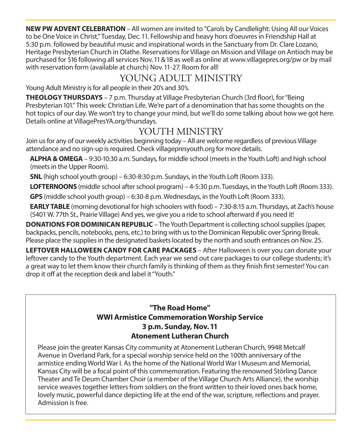**NEW PW ADVENT CELEBRATION** – All women are invited to "Carols by Candlelight: Using All our Voices to be One Voice in Christ," Tuesday, Dec. 11. Fellowship and heavy hors d'oeuvres in Friendship Hall at 5:30 p.m. followed by beautiful music and inspirational words in the Sanctuary from Dr. Clare Lozano, Heritage Presbyterian Church in Olathe. Reservations for Village on Mission and Village on Antioch may be purchased for \$16 following all services Nov. 11 & 18 as well as online at www.villagepres.org/pw or by mail with reservation form (available at church) Nov. 11-27. Room for all!

# YOUNG ADULT MINISTRY

Young Adult Ministry is for all people in their 20's and 30's.

**THEOLOGY THURSDAYS** – 7 p.m. Thursday at Village Presbyterian Church (3rd floor), for "Being Presbyterian 101." This week: Christian Life. We're part of a denomination that has some thoughts on the hot topics of our day. We won't try to change your mind, but we'll do some talking about how we got here. Details online at VillagePresYA.org/thursdays.

# YOUTH MINISTRY

Join us for any of our weekly activities beginning today – All are welcome regardless of previous Village attendance and no sign-up is required. Check villagepresyouth.org for more details.

 **ALPHA & OMEGA** – 9:30-10:30 a.m. Sundays, for middle school (meets in the Youth Loft) and high school (meets in the Upper Room).

**SNL** (high school youth group) – 6:30-8:30 p.m. Sundays, in the Youth Loft (Room 333).

**LOFTERNOONS** (middle school after school program) – 4-5:30 p.m. Tuesdays, in the Youth Loft (Room 333).

**GPS** (middle school youth group) – 6:30-8 p.m. Wednesdays, in the Youth Loft (Room 333).

**EARLY TABLE** (morning devotional for high schoolers with food) – 7:30-8:15 a.m. Thursdays, at Zach's house (5401 W. 77th St., Prairie Village) And yes, we give you a ride to school afterward if you need it!

**DONATIONS FOR DOMINICAN REPUBLIC** – The Youth Department is collecting school supplies (paper, backpacks, pencils, notebooks, pens, etc.) to bring with us to the Dominican Republic over Spring Break. Please place the supplies in the designated baskets located by the north and south entrances on Nov. 25.

**LEFTOVER HALLOWEEN CANDY FOR CARE PACKAGES** – After Halloween is over you can donate your leftover candy to the Youth department. Each year we send out care packages to our college students; it's a great way to let them know their church family is thinking of them as they finish first semester! You can drop it off at the reception desk and label it "Youth."

#### **"The Road Home" WWI Armistice Commemoration Worship Service 3 p.m. Sunday, Nov. 11 Atonement Lutheran Church**

Please join the greater Kansas City community at Atonement Lutheran Church, 9948 Metcalf Avenue in Overland Park, for a special worship service held on the 100th anniversary of the armistice ending World War I. As the home of the National World War I Museum and Memorial, Kansas City will be a focal point of this commemoration. Featuring the renowned Störling Dance Theater and Te Deum Chamber Choir (a member of the Village Church Arts Alliance), the worship service weaves together letters from soldiers on the front written to their loved ones back home, lovely music, powerful dance depicting life at the end of the war, scripture, reflections and prayer. Admission is free.